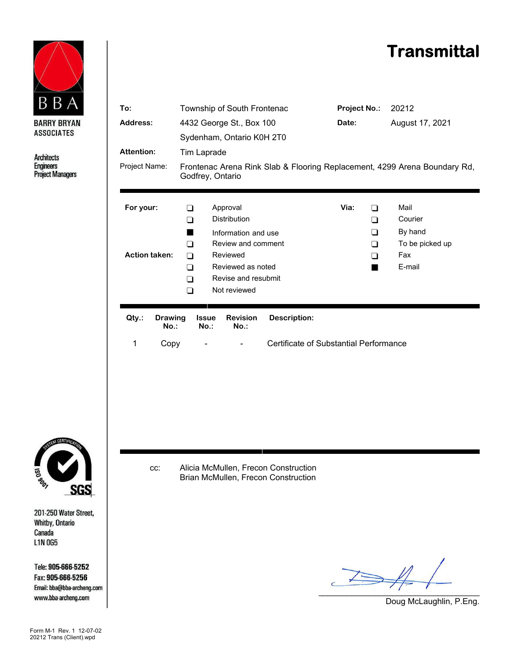## **Transmittal**



**Architects Engineers Project Managers** 





201-250 Water Street, **Whitby, Ontario** Canada **L1N 0G5** 

Tele: 905-666-5252 Fax: 905-666-5256 Email: bba@bba-archeng.com www.bba-archeng.com

Form M-1 Rev. 1 12-07-02 20212 Trans (Client).wpd

cc: Alicia McMullen, Frecon Construction Brian McMullen, Frecon Construction

 $\implies$ 

Doug McLaughlin, P.Eng.